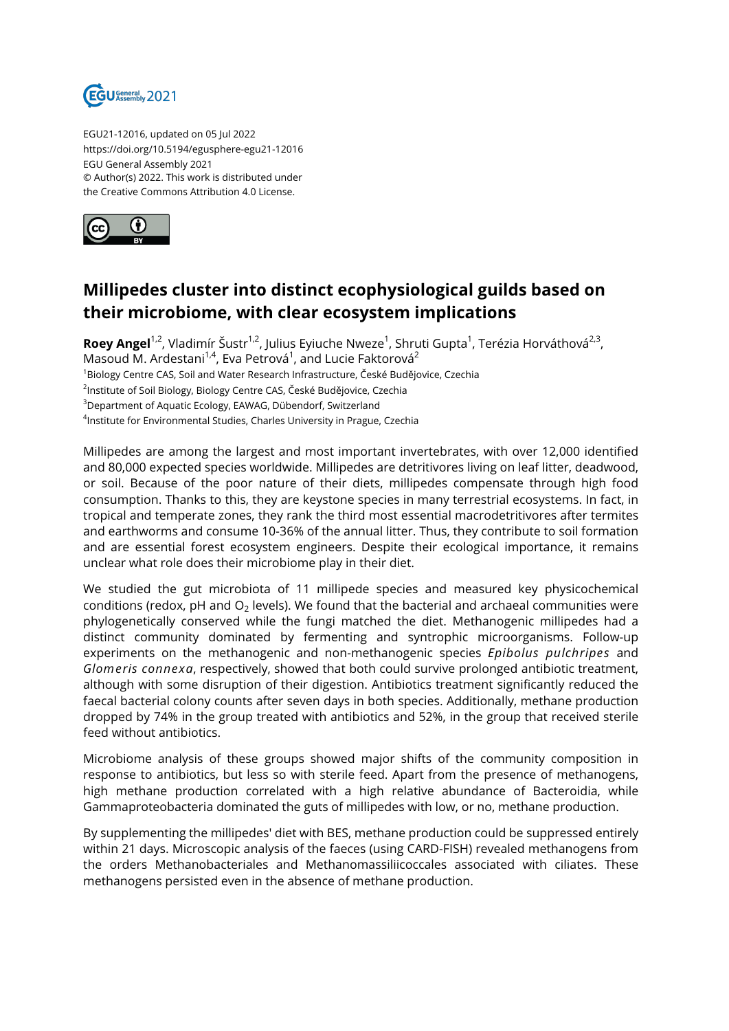

EGU21-12016, updated on 05 Jul 2022 https://doi.org/10.5194/egusphere-egu21-12016 EGU General Assembly 2021 © Author(s) 2022. This work is distributed under the Creative Commons Attribution 4.0 License.



## **Millipedes cluster into distinct ecophysiological guilds based on their microbiome, with clear ecosystem implications**

**Roey Angel<sup>1,2</sup>,** Vladimír Šustr<sup>1,2</sup>, Julius Eyiuche Nweze<sup>1</sup>, Shruti Gupta<sup>1</sup>, Terézia Horváthová<sup>2,3</sup>, Masoud M. Ardestani $^{1,4}$ , Eva Petrová $^1$ , and Lucie Faktorová $^2$ <sup>1</sup>Biology Centre CAS, Soil and Water Research Infrastructure, České Budějovice, Czechia <sup>2</sup>Institute of Soil Biology, Biology Centre CAS, České Budějovice, Czechia <sup>3</sup>Department of Aquatic Ecology, EAWAG, Dübendorf, Switzerland 4 Institute for Environmental Studies, Charles University in Prague, Czechia

Millipedes are among the largest and most important invertebrates, with over 12,000 identified and 80,000 expected species worldwide. Millipedes are detritivores living on leaf litter, deadwood, or soil. Because of the poor nature of their diets, millipedes compensate through high food consumption. Thanks to this, they are keystone species in many terrestrial ecosystems. In fact, in tropical and temperate zones, they rank the third most essential macrodetritivores after termites and earthworms and consume 10-36% of the annual litter. Thus, they contribute to soil formation and are essential forest ecosystem engineers. Despite their ecological importance, it remains unclear what role does their microbiome play in their diet.

We studied the gut microbiota of 11 millipede species and measured key physicochemical conditions (redox, pH and O $_{\rm 2}$  levels). We found that the bacterial and archaeal communities were phylogenetically conserved while the fungi matched the diet. Methanogenic millipedes had a distinct community dominated by fermenting and syntrophic microorganisms. Follow-up experiments on the methanogenic and non-methanogenic species *Epibolus pulchripes* and *Glomeris connexa*, respectively, showed that both could survive prolonged antibiotic treatment, although with some disruption of their digestion. Antibiotics treatment significantly reduced the faecal bacterial colony counts after seven days in both species. Additionally, methane production dropped by 74% in the group treated with antibiotics and 52%, in the group that received sterile feed without antibiotics.

Microbiome analysis of these groups showed major shifts of the community composition in response to antibiotics, but less so with sterile feed. Apart from the presence of methanogens, high methane production correlated with a high relative abundance of Bacteroidia, while Gammaproteobacteria dominated the guts of millipedes with low, or no, methane production.

By supplementing the millipedes' diet with BES, methane production could be suppressed entirely within 21 days. Microscopic analysis of the faeces (using CARD-FISH) revealed methanogens from the orders Methanobacteriales and Methanomassiliicoccales associated with ciliates. These methanogens persisted even in the absence of methane production.